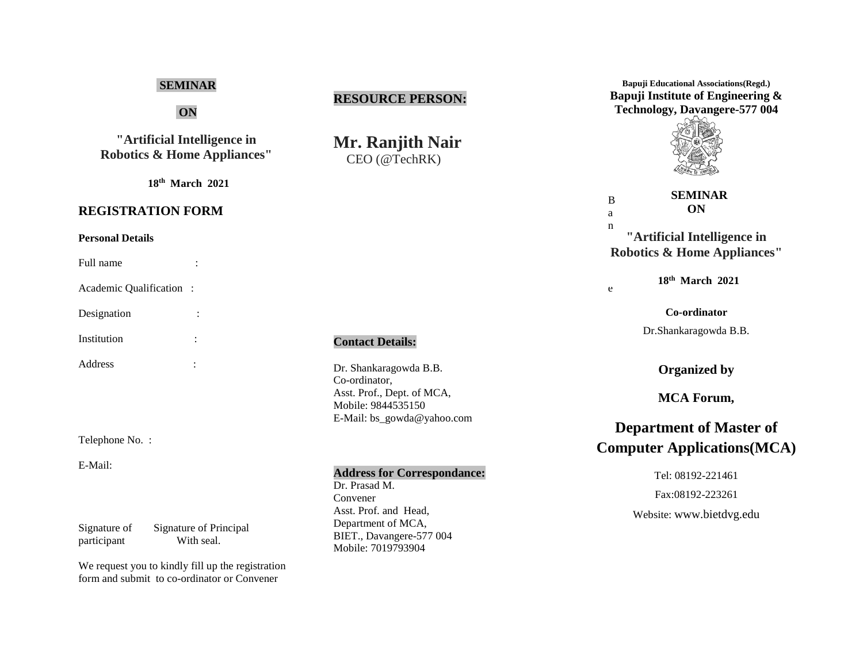# **SEMINAR**

**ON**

**"Artificial Intelligence in Robotics & Home Appliances"**

**18th March 2021**

# **REGISTRATION FORM**

#### **Personal Details**

Full name :

Academic Qualification :

Designation : Institution :

Address :

Telephone No. :

E-Mail:

Signature of Signature of Principal participant With seal.

We request you to kindly fill up the registration form and submit to co-ordinator or Convener

# **RESOURCE PERSON:**

**Mr. Ranjith Nair** CEO (@TechRK)

### **Contact Details:**

Dr. Shankaragowda B.B. Co-ordinator, Asst. Prof., Dept. of MCA, Mobile: 9844535150 E-Mail: bs\_gowda@yahoo.com

## **Address for Correspondance:**

Dr. Prasad M. Convener Asst. Prof. and Head, Department of MCA, BIET., Davangere-577 004 Mobile: 7019793904

**Bapuji Educational Associations(Regd.) Bapuji Institute of Engineering & Technology, Davangere-577 004**



| B                                      | <b>SEMINAR</b> |  |
|----------------------------------------|----------------|--|
| a                                      | ON             |  |
| n                                      |                |  |
| "Artificial Intelligence in            |                |  |
| <b>Robotics &amp; Home Appliances"</b> |                |  |

e

**18th March 2021**

**Co-ordinator**

Dr.Shankaragowda B.B.

**Organized by**

**MCA Forum,**

# **Department of Master of Computer Applications(MCA)**

Tel: 08192-221461 Fax:08192-223261 Website: [www.bietdvg.edu](http://www.bietdvg.edu/)